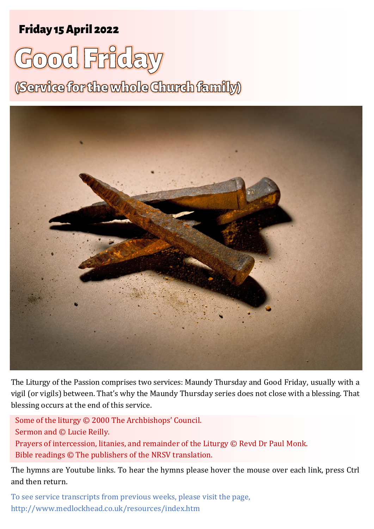## Friday 15 April <sup>2022</sup> <sup>1</sup> **Good Friday** Friday 15 April 2022

# **Good Friday**

(Service for the whole Church family)



The Liturgy of the Passion comprises two services: Maundy Thursday and Good Friday, usually with a vigil (or vigils) between. That's why the Maundy Thursday series does not close with a blessing. That blessing occurs at the end of this service.

Some of the liturgy © 2000 The Archbishops' Council. Sermon and © Lucie Reilly. Prayers of intercession, litanies, and remainder of the Liturgy © Revd Dr Paul Monk. Bible readings © The publishers of the NRSV translation.

The hymns are Youtube links. To hear the hymns please hover the mouse over each link, press Ctrl and then return.

To see service transcripts from previous weeks, please visit the page, <http://www.medlockhead.co.uk/resources/index.htm>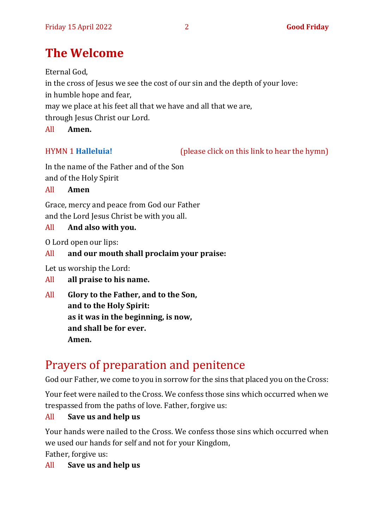## **The Welcome**

Eternal God,

in the cross of Jesus we see the cost of our sin and the depth of your love:

in humble hope and fear,

may we place at his feet all that we have and all that we are,

through Jesus Christ our Lord.

All **Amen.**

HYMN 1 **[Halleluia!](https://www.youtube.com/watch?v=jnCL3Ll3AKk)** (please click on this link to hear the hymn)

In the name of the Father and of the Son and of the Holy Spirit

All **Amen**

Grace, mercy and peace from God our Father and the Lord Jesus Christ be with you all.

All **And also with you.**

O Lord open our lips:

#### All **and our mouth shall proclaim your praise:**

Let us worship the Lord:

- All **all praise to his name.**
- All **Glory to the Father, and to the Son, and to the Holy Spirit: as it was in the beginning, is now, and shall be for ever. Amen.**

# Prayers of preparation and penitence

God our Father, we come to you in sorrow for the sins that placed you on the Cross:

Your feet were nailed to the Cross. We confess those sins which occurred when we trespassed from the paths of love. Father, forgive us:

#### All **Save us and help us**

Your hands were nailed to the Cross. We confess those sins which occurred when we used our hands for self and not for your Kingdom,

Father, forgive us:

All **Save us and help us**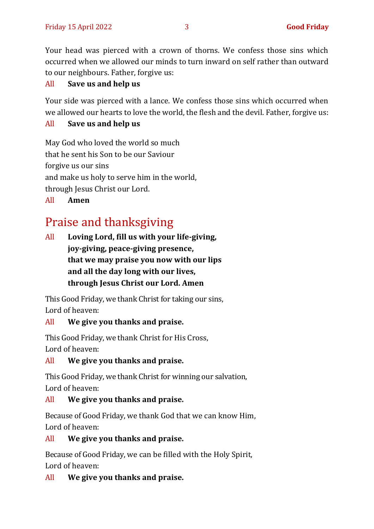Your head was pierced with a crown of thorns. We confess those sins which occurred when we allowed our minds to turn inward on self rather than outward to our neighbours. Father, forgive us:

#### All **Save us and help us**

Your side was pierced with a lance. We confess those sins which occurred when we allowed our hearts to love the world, the flesh and the devil. Father, forgive us:

#### All **Save us and help us**

May God who loved the world so much that he sent his Son to be our Saviour forgive us our sins and make us holy to serve him in the world, through Jesus Christ our Lord. All **Amen**

## Praise and thanksgiving

All **Loving Lord, fill us with your life-giving, joy-giving, peace-giving presence, that we may praise you now with our lips and all the day long with our lives, through Jesus Christ our Lord. Amen**

This Good Friday, we thank Christ for taking our sins, Lord of heaven:

#### All **We give you thanks and praise.**

This Good Friday, we thank Christ for His Cross, Lord of heaven:

All **We give you thanks and praise.**

This Good Friday, we thank Christ for winning our salvation, Lord of heaven:

#### All **We give you thanks and praise.**

Because of Good Friday, we thank God that we can know Him, Lord of heaven:

#### All **We give you thanks and praise.**

Because of Good Friday, we can be filled with the Holy Spirit, Lord of heaven:

#### All **We give you thanks and praise.**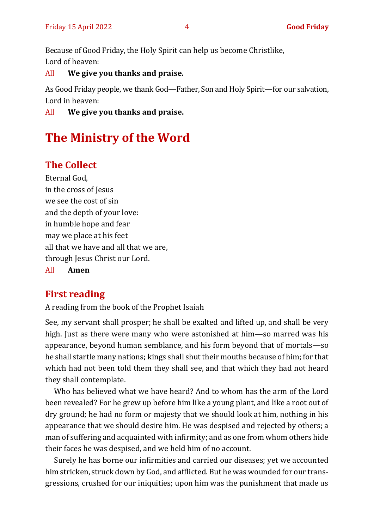Because of Good Friday, the Holy Spirit can help us become Christlike, Lord of heaven:

All **We give you thanks and praise.**

As Good Friday people, we thank God—Father, Son and Holy Spirit—for our salvation, Lord in heaven:

All **We give you thanks and praise.**

## **The Ministry of the Word**

### **The Collect**

Eternal God, in the cross of Jesus we see the cost of sin and the depth of your love: in humble hope and fear may we place at his feet all that we have and all that we are, through Jesus Christ our Lord. All **Amen**

### **First reading**

A reading from the book of the Prophet Isaiah

See, my servant shall prosper; he shall be exalted and lifted up, and shall be very high. Just as there were many who were astonished at him—so marred was his appearance, beyond human semblance, and his form beyond that of mortals—so he shall startle many nations; kings shall shut their mouths because of him; for that which had not been told them they shall see, and that which they had not heard they shall contemplate.

Who has believed what we have heard? And to whom has the arm of the Lord been revealed? For he grew up before him like a young plant, and like a root out of dry ground; he had no form or majesty that we should look at him, nothing in his appearance that we should desire him. He was despised and rejected by others; a man of suffering and acquainted with infirmity; and as one from whom others hide their faces he was despised, and we held him of no account.

Surely he has borne our infirmities and carried our diseases; yet we accounted him stricken, struck down by God, and afflicted. But he was wounded for our transgressions, crushed for our iniquities; upon him was the punishment that made us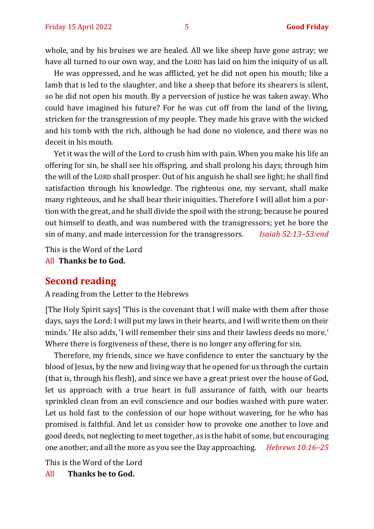whole, and by his bruises we are healed. All we like sheep have gone astray; we have all turned to our own way, and the LORD has laid on him the iniquity of us all.

He was oppressed, and he was afflicted, yet he did not open his mouth; like a lamb that is led to the slaughter, and like a sheep that before its shearers is silent, so he did not open his mouth. By a perversion of justice he was taken away. Who could have imagined his future? For he was cut off from the land of the living, stricken for the transgression of my people. They made his grave with the wicked and his tomb with the rich, although he had done no violence, and there was no deceit in his mouth.

Yet it was the will of the Lord to crush him with pain.When you make his life an offering for sin, he shall see his offspring, and shall prolong his days; through him the will of the LORD shall prosper. Out of his anguish he shall see light; he shall find satisfaction through his knowledge. The righteous one, my servant, shall make many righteous, and he shall bear their iniquities. Therefore I will allot him a portion with the great, and he shall divide the spoil with the strong; because he poured out himself to death, and was numbered with the transgressors; yet he bore the sin of many, and made intercession for the transgressors. *Isaiah 52:13–53:end*

This is the Word of the Lord

All **Thanks be to God.**

#### **Second reading**

A reading from the Letter to the Hebrews

[The Holy Spirit says] 'This is the covenant that I will make with them after those days, says the Lord: I will put my laws in their hearts, and I will write them on their minds.' He also adds, 'I will remember their sins and their lawless deeds no more.' Where there is forgiveness of these, there is no longer any offering for sin.

Therefore, my friends, since we have confidence to enter the sanctuary by the blood of Jesus, by the new and living way that he opened for us through the curtain (that is, through his flesh), and since we have a great priest over the house of God, let us approach with a true heart in full assurance of faith, with our hearts sprinkled clean from an evil conscience and our bodies washed with pure water. Let us hold fast to the confession of our hope without wavering, for he who has promised is faithful. And let us consider how to provoke one another to love and good deeds, not neglecting to meet together, as is the habit of some, but encouraging one another, and all the more as you see the Day approaching. *Hebrews 10:16–25*

This is the Word of the Lord

All **Thanks be to God.**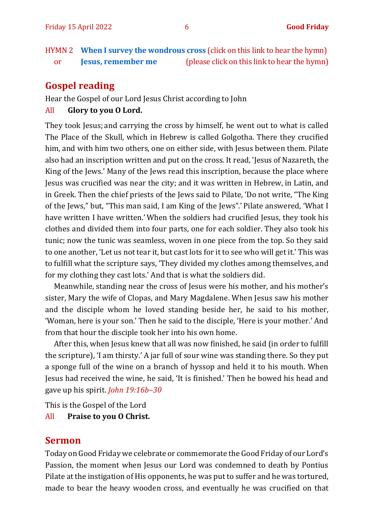HYMN 2 **[When I survey the wondrous cross](https://www.youtube.com/watch?v=kimLXNhzZMA)** (click on this link to hear the hymn) or **[Jesus, remember me](https://www.youtube.com/watch?v=cHoj6GVJzP8)** (please click on this link to hear the hymn)

#### **Gospel reading**

Hear the Gospel of our Lord Jesus Christ according to John

#### All **Glory to you O Lord.**

They took Jesus; and carrying the cross by himself, he went out to what is called The Place of the Skull, which in Hebrew is called Golgotha. There they crucified him, and with him two others, one on either side, with Jesus between them. Pilate also had an inscription written and put on the cross. It read, 'Jesus of Nazareth, the King of the Jews.' Many of the Jews read this inscription, because the place where Jesus was crucified was near the city; and it was written in Hebrew, in Latin, and in Greek. Then the chief priests of the Jews said to Pilate, 'Do not write, "The King of the Jews," but, "This man said, I am King of the Jews".' Pilate answered, 'What I have written I have written.' When the soldiers had crucified Jesus, they took his clothes and divided them into four parts, one for each soldier. They also took his tunic; now the tunic was seamless, woven in one piece from the top. So they said to one another, 'Let us not tear it, but cast lots for it to see who will get it.' This was to fulfill what the scripture says, 'They divided my clothes among themselves, and for my clothing they cast lots.' And that is what the soldiers did.

Meanwhile, standing near the cross of Jesus were his mother, and his mother's sister, Mary the wife of Clopas, and Mary Magdalene. When Jesus saw his mother and the disciple whom he loved standing beside her, he said to his mother, 'Woman, here is your son.' Then he said to the disciple, 'Here is your mother.' And from that hour the disciple took her into his own home.

After this, when Jesus knew that all was now finished, he said (in order to fulfill the scripture), 'I am thirsty.' A jar full of sour wine was standing there. So they put a sponge full of the wine on a branch of hyssop and held it to his mouth. When Jesus had received the wine, he said, 'It is finished.' Then he bowed his head and gave up his spirit. *John 19:16b–30*

This is the Gospel of the Lord All **Praise to you O Christ.** 

#### **Sermon**

Today on Good Friday we celebrate or commemorate the Good Friday of our Lord's Passion, the moment when Jesus our Lord was condemned to death by Pontius Pilate at the instigation of His opponents, he was put to suffer and he was tortured, made to bear the heavy wooden cross, and eventually he was crucified on that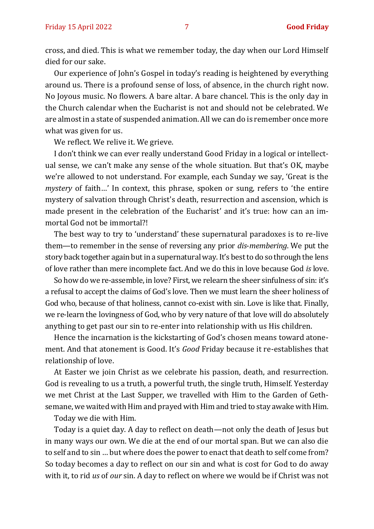cross, and died. This is what we remember today, the day when our Lord Himself died for our sake.

Our experience of John's Gospel in today's reading is heightened by everything around us. There is a profound sense of loss, of absence, in the church right now. No Joyous music. No flowers. A bare altar. A bare chancel. This is the only day in the Church calendar when the Eucharist is not and should not be celebrated. We are almost in a state of suspended animation. All we can do is remember once more what was given for us.

We reflect. We relive it. We grieve.

I don't think we can ever really understand Good Friday in a logical or intellectual sense, we can't make any sense of the whole situation. But that's OK, maybe we're allowed to not understand. For example, each Sunday we say, 'Great is the *mystery* of faith…' In context, this phrase, spoken or sung, refers to 'the entire mystery of salvation through Christ's death, resurrection and ascension, which is made present in the celebration of the Eucharist' and it's true: how can an immortal God not be immortal?!

The best way to try to 'understand' these supernatural paradoxes is to re-live them—to remember in the sense of reversing any prior *dis*-*membering*. We put the story back together again but in a supernatural way. It's best to do so through the lens of love rather than mere incomplete fact. And we do this in love because God *is* love.

So how do we re-assemble, in love? First, we relearn the sheer sinfulness of sin: it's a refusal to accept the claims of God's love. Then we must learn the sheer holiness of God who, because of that holiness, cannot co-exist with sin. Love is like that. Finally, we re-learn the lovingness of God, who by very nature of that love will do absolutely anything to get past our sin to re-enter into relationship with us His children.

Hence the incarnation is the kickstarting of God's chosen means toward atonement. And that atonement is Good. It's *Good* Friday because it re-establishes that relationship of love.

At Easter we join Christ as we celebrate his passion, death, and resurrection. God is revealing to us a truth, a powerful truth, the single truth, Himself. Yesterday we met Christ at the Last Supper, we travelled with Him to the Garden of Gethsemane, we waited with Him and prayed with Him and tried to stay awake with Him.

Today we die with Him.

Today is a quiet day. A day to reflect on death—not only the death of Jesus but in many ways our own. We die at the end of our mortal span. But we can also die to self and to sin … but where does the power to enact that death to self come from? So today becomes a day to reflect on our sin and what is cost for God to do away with it, to rid *us* of *our* sin. A day to reflect on where we would be if Christ was not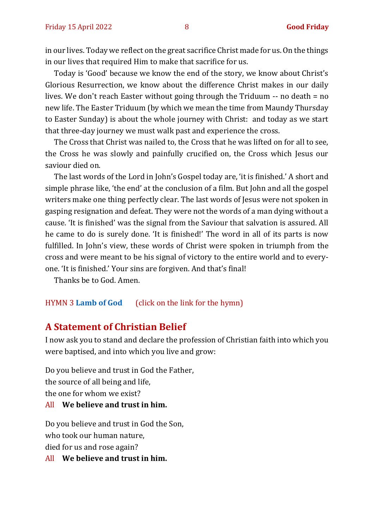in our lives. Today we reflect on the great sacrifice Christ made for us. On the things in our lives that required Him to make that sacrifice for us.

Today is 'Good' because we know the end of the story, we know about Christ's Glorious Resurrection, we know about the difference Christ makes in our daily lives. We don't reach Easter without going through the Triduum -- no death = no new life. The Easter Triduum (by which we mean the time from Maundy Thursday to Easter Sunday) is about the whole journey with Christ: and today as we start that three-day journey we must walk past and experience the cross.

The Cross that Christ was nailed to, the Cross that he was lifted on for all to see, the Cross he was slowly and painfully crucified on, the Cross which Jesus our saviour died on.

The last words of the Lord in John's Gospel today are, 'it is finished.' A short and simple phrase like, 'the end' at the conclusion of a film. But John and all the gospel writers make one thing perfectly clear. The last words of Jesus were not spoken in gasping resignation and defeat. They were not the words of a man dying without a cause. 'It is finished' was the signal from the Saviour that salvation is assured. All he came to do is surely done. 'It is finished!' The word in all of its parts is now fulfilled. In John's view, these words of Christ were spoken in triumph from the cross and were meant to be his signal of victory to the entire world and to everyone. 'It is finished.' Your sins are forgiven. And that's final!

Thanks be to God. Amen.

#### HYMN 3 **[Lamb of God](https://www.youtube.com/watch?v=aPtTOnePEH4)** (click on the link for the hymn)

#### **A Statement of Christian Belief**

I now ask you to stand and declare the profession of Christian faith into which you were baptised, and into which you live and grow:

Do you believe and trust in God the Father, the source of all being and life, the one for whom we exist? All **We believe and trust in him.**

Do you believe and trust in God the Son, who took our human nature, died for us and rose again?

All **We believe and trust in him.**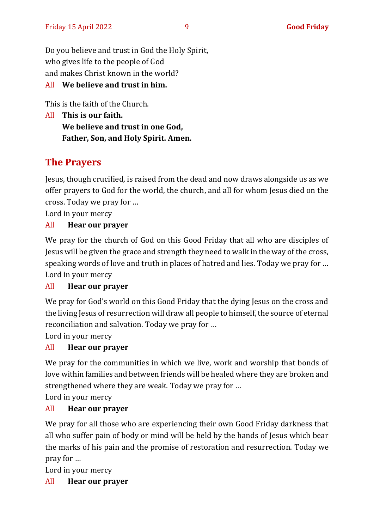Do you believe and trust in God the Holy Spirit, who gives life to the people of God and makes Christ known in the world?

#### All **We believe and trust in him.**

This is the faith of the Church.

All **This is our faith. We believe and trust in one God, Father, Son, and Holy Spirit. Amen.**

## **The Prayers**

Jesus, though crucified, is raised from the dead and now draws alongside us as we offer prayers to God for the world, the church, and all for whom Jesus died on the cross. Today we pray for …

Lord in your mercy

#### All **Hear our prayer**

We pray for the church of God on this Good Friday that all who are disciples of Jesus will be given the grace and strength they need to walk in the way of the cross, speaking words of love and truth in places of hatred and lies. Today we pray for … Lord in your mercy

#### All **Hear our prayer**

We pray for God's world on this Good Friday that the dying Jesus on the cross and the living Jesus of resurrection will draw all people to himself, the source of eternal reconciliation and salvation. Today we pray for …

Lord in your mercy

#### All **Hear our prayer**

We pray for the communities in which we live, work and worship that bonds of love within families and between friends will be healed where they are broken and strengthened where they are weak. Today we pray for …

Lord in your mercy

#### All **Hear our prayer**

We pray for all those who are experiencing their own Good Friday darkness that all who suffer pain of body or mind will be held by the hands of Jesus which bear the marks of his pain and the promise of restoration and resurrection. Today we pray for …

Lord in your mercy

#### All **Hear our prayer**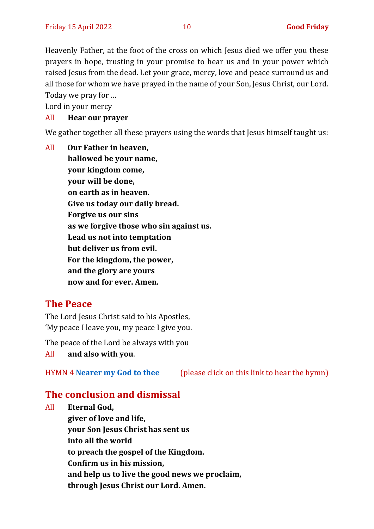Heavenly Father, at the foot of the cross on which Jesus died we offer you these prayers in hope, trusting in your promise to hear us and in your power which raised Jesus from the dead. Let your grace, mercy, love and peace surround us and all those for whom we have prayed in the name of your Son, Jesus Christ, our Lord. Today we pray for …

Lord in your mercy

#### All **Hear our prayer**

We gather together all these prayers using the words that Jesus himself taught us:

All **Our Father in heaven, hallowed be your name, your kingdom come, your will be done, on earth as in heaven. Give us today our daily bread. Forgive us our sins as we forgive those who sin against us. Lead us not into temptation but deliver us from evil. For the kingdom, the power, and the glory are yours now and for ever. Amen.**

#### **The Peace**

The Lord Jesus Christ said to his Apostles, 'My peace I leave you, my peace I give you.

The peace of the Lord be always with you

All **and also with you**.

HYMN 4 **[Nearer my God to thee](https://www.youtube.com/watch?v=gWz4feHp0ko)** (please click on this link to hear the hymn)

#### **The conclusion and dismissal**

All **Eternal God, giver of love and life, your Son Jesus Christ has sent us into all the world to preach the gospel of the Kingdom. Confirm us in his mission, and help us to live the good news we proclaim, through Jesus Christ our Lord. Amen.**